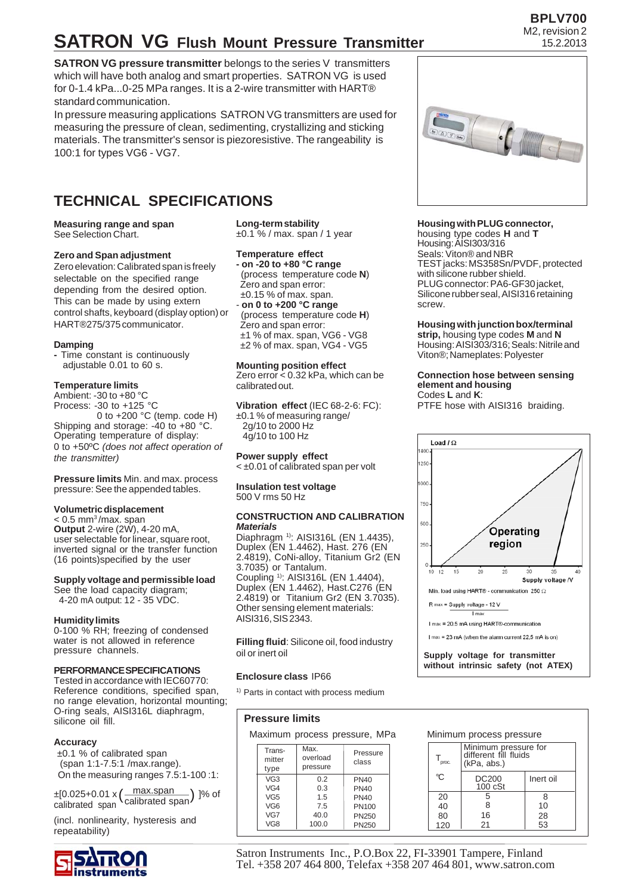# **SATRON VG Flush Mount Pressure Transmitter**

**SATRON VG pressure transmitter** belongs to the series V transmitters which will have both analog and smart properties. SATRON VG is used for 0-1.4 kPa...0-25 MPa ranges. It is a 2-wire transmitter with HART® standard communication.

In pressure measuring applications SATRON VG transmitters are used for measuring the pressure of clean, sedimenting, crystallizing and sticking materials. The transmitter's sensor is piezoresistive. The rangeability is 100:1 for types VG6 - VG7.

## **TECHNICAL SPECIFICATIONS**

#### **Measuring range and span** See Selection Chart.

#### **Zero and Span adjustment**

Zero elevation: Calibrated span is freely selectable on the specified range depending from the desired option. This can be made by using extern control shafts, keyboard (display option) or HART®275/375 communicator.

#### **Damping**

**-** Time constant is continuously adjustable 0.01 to 60 s.

#### **Temperature limits**

Ambient: -30 to +80 °C Process: -30 to +125 °C 0 to +200 °C (temp. code H) Shipping and storage: -40 to +80 °C. Operating temperature of display: 0 to +50ºC *(does not affect operation of the transmitter)*

**Pressure limits** Min. and max. process pressure: See the appended tables.

#### **Volumetric displacement**

 $< 0.5$  mm<sup>3</sup>/max. span **Output** 2-wire (2W), 4-20 mA, user selectable for linear, square root, inverted signal or the transfer function (16 points)specified by the user

#### **Supply voltage and permissible load**

See the load capacity diagram; 4-20 mA output: 12 - 35 VDC.

#### **Humidity limits**

0-100 % RH; freezing of condensed water is not allowed in reference pressure channels.

#### **PERFORMANCE SPECIFICATIONS**

Tested in accordance with IEC60770: Reference conditions, specified span, no range elevation, horizontal mounting; O-ring seals, AISI316L diaphragm, silicone oil fill.

#### **Accuracy**

 ±0.1 % of calibrated span (span 1:1-7.5:1 /max.range). On the measuring ranges 7.5:1-100 :1:

max.span calibrated span ±[0.025+0.01 x ]% of ( ) calibrated span

(incl. nonlinearity, hysteresis and repeatability)



**Long-term stability** ±0.1 % / max. span / 1 year

#### **Temperature effect**

**- on -20 to +80 °C range** (process temperature code **N**) Zero and span error: ±0.15 % of max. span.

- **on 0 to +200 °C range** (process temperature code **H**) Zero and span error: ±1 % of max. span, VG6 - VG8 ±2 % of max. span, VG4 - VG5

#### **Mounting position effect**

Zero error < 0.32 kPa, which can be calibrated out.

**Vibration effect** (IEC 68-2-6: FC): ±0.1 % of measuring range/ 2g/10 to 2000 Hz 4g/10 to 100 Hz

**Power supply effect** < ±0.01 of calibrated span per volt

**Insulation test voltage** 500 V rms 50 Hz

#### **CONSTRUCTION AND CALIBRATION** *Materials*

Diaphragm<sup>1)</sup>: AISI316L (EN 1.4435). Duplex (EN 1.4462), Hast. 276 (EN 2.4819), CoNi-alloy, Titanium Gr2 (EN 3.7035) or Tantalum. Coupling 1): AISI316L (EN 1.4404), Duplex (EN 1.4462), Hast.C276 (EN 2.4819) or Titanium Gr2 (EN 3.7035). Other sensing element materials: AISI316, SIS 2343.

**Filling fluid**: Silicone oil, food industry oil or inert oil

#### **Enclosure class** IP66

<sup>1)</sup> Parts in contact with process medium

#### **Pressure limits**

Maximum process pressure, MPa

| Trans-<br>mitter<br>type | Max.<br>overload<br>pressure | Pressure<br>class |
|--------------------------|------------------------------|-------------------|
| VG <sub>3</sub>          | 0.2                          | <b>PN40</b>       |
| VG4                      | 0.3                          | <b>PN40</b>       |
| VG <sub>5</sub>          | 1.5                          | <b>PN40</b>       |
| VG <sub>6</sub>          | 7.5                          | PN100             |
| VG7                      | 40.0                         | PN250             |
| VG8                      | 100.0                        | PN250             |

#### **Housing with PLUG connector,**

housing type codes **H** and **T** Housing: AISI303/316 Seals: Viton® and NBR TEST jacks: MS358Sn/PVDF, protected with silicone rubber shield. PLUG connector: PA6-GF30 jacket, Silicone rubber seal, AISI316 retaining screw.

#### **Housing with junction box/terminal strip,** housing type codes **M** and **N**

Housing: AISI303/316; Seals: Nitrile and Viton®; Nameplates: Polyester

#### **Connection hose between sensing element and housing** Codes **L** and **K**:

PTFE hose with AISI316 braiding.



**Supply voltage for transmitter without intrinsic safety (not ATEX)**

Minimum pressure for different fill fluids

DC200 | Inert oil

(kPa, abs.)

Minimum process pressure

100 cSt



Satron Instruments Inc., P.O.Box 22, FI-33901 Tampere, Finland Tel. +358 207 464 800, Telefax +358 207 464 801, www.satron.com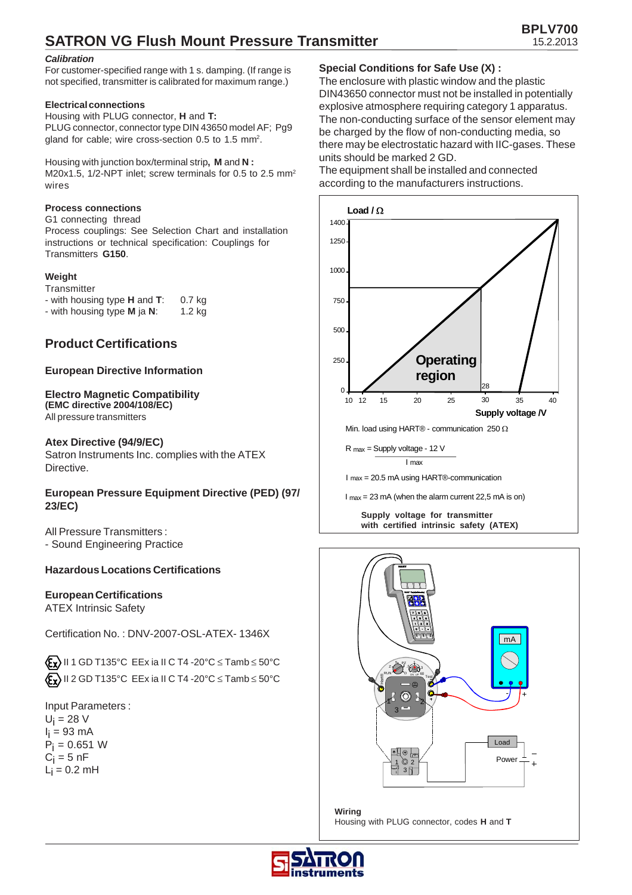## **SATRON VG Flush Mount Pressure Transmitter**

#### *Calibration*

For customer-specified range with 1 s. damping. (If range is not specified, transmitter is calibrated for maximum range.)

#### **Electrical connections**

Housing with PLUG connector, **H** and **T:** PLUG connector, connector type DIN 43650 model AF; Pg9 gland for cable; wire cross-section 0.5 to 1.5 mm<sup>2</sup>.

Housing with junction box/terminal strip**, M** and **N :** M20x1.5, 1/2-NPT inlet; screw terminals for 0.5 to 2.5 mm<sup>2</sup> wires

#### **Process connections**

#### G1 connecting thread

Process couplings: See Selection Chart and installation instructions or technical specification: Couplings for Transmitters **G150**.

#### **Weight**

| Transmitter                                 |          |
|---------------------------------------------|----------|
| - with housing type <b>H</b> and <b>T</b> : | $0.7$ kg |
| - with housing type M ja N:                 | 1.2 kg   |

#### **Product Certifications**

#### **European Directive Information**

#### **Electro Magnetic Compatibility (EMC directive 2004/108/EC)**

All pressure transmitters

#### **Atex Directive (94/9/EC)**

Satron Instruments Inc. complies with the ATEX Directive.

#### **European Pressure Equipment Directive (PED) (97/ 23/EC)**

All Pressure Transmitters : - Sound Engineering Practice

#### **Hazardous Locations Certifications**

#### **European Certifications**

ATEX Intrinsic Safety

Certification No. : DNV-2007-OSL-ATEX- 1346X

 $\langle \mathbf{F}_{\mathbf{X}} \rangle$  II 1 GD T135°C EEx ia II C T4 -20°C  $\leq$  Tamb  $\leq$  50°C  $\langle \xi_{\mathbf{x}} \rangle$  II 2 GD T135°C EEx ia II C T4 -20°C  $\leq$  Tamb  $\leq$  50°C

Input Parameters :  $U_i = 28$  V l<sub>i</sub> = 93 mA Pi = 0.651 W  $\mathrm{C_{i}}$  = 5 nF  $L_i = 0.2$  mH

#### **Special Conditions for Safe Use (X) :**

The enclosure with plastic window and the plastic DIN43650 connector must not be installed in potentially explosive atmosphere requiring category 1 apparatus. The non-conducting surface of the sensor element may be charged by the flow of non-conducting media, so there may be electrostatic hazard with IIC-gases. These units should be marked 2 GD.

The equipment shall be installed and connected according to the manufacturers instructions.



I max = 23 mA (when the alarm current 22,5 mA is on)

**Supply voltage for transmitter with certified intrinsic safety (ATEX)**



**Wiring** Housing with PLUG connector, codes **H** and **T**

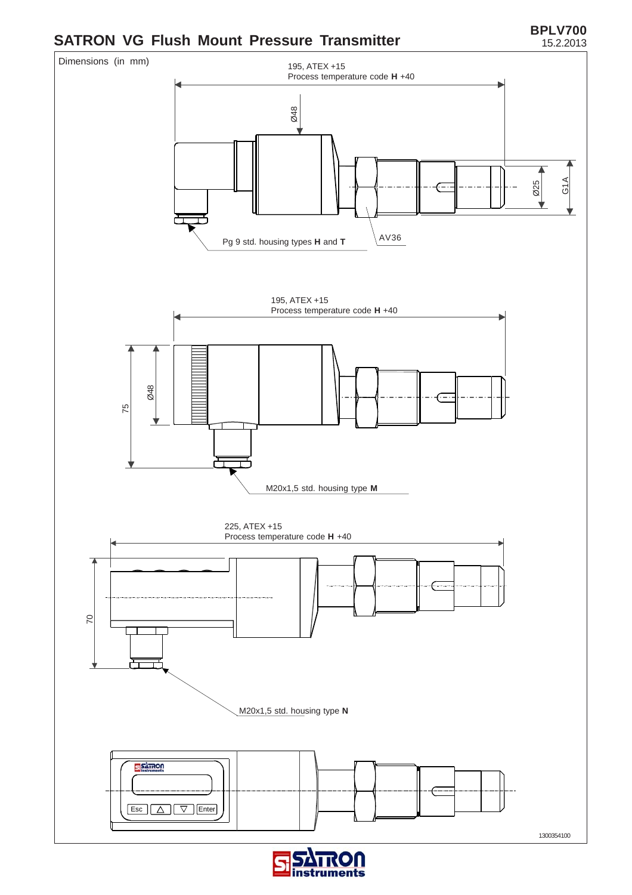# **SATRON VG Flush Mount Pressure Transmitter BPLV700**





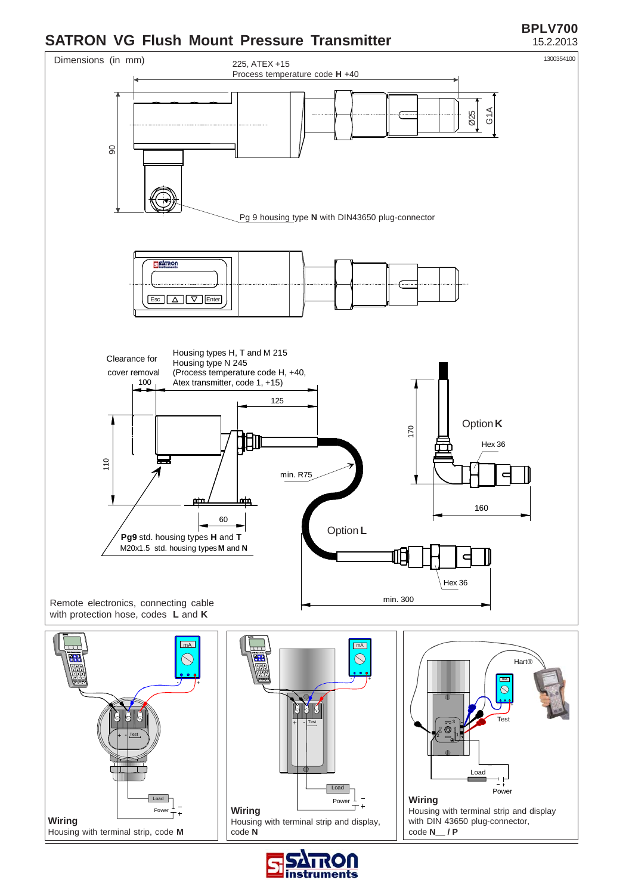### **SATRON VG Flush Mount Pressure Transmitter** 15.2.2013

# **BPLV700**



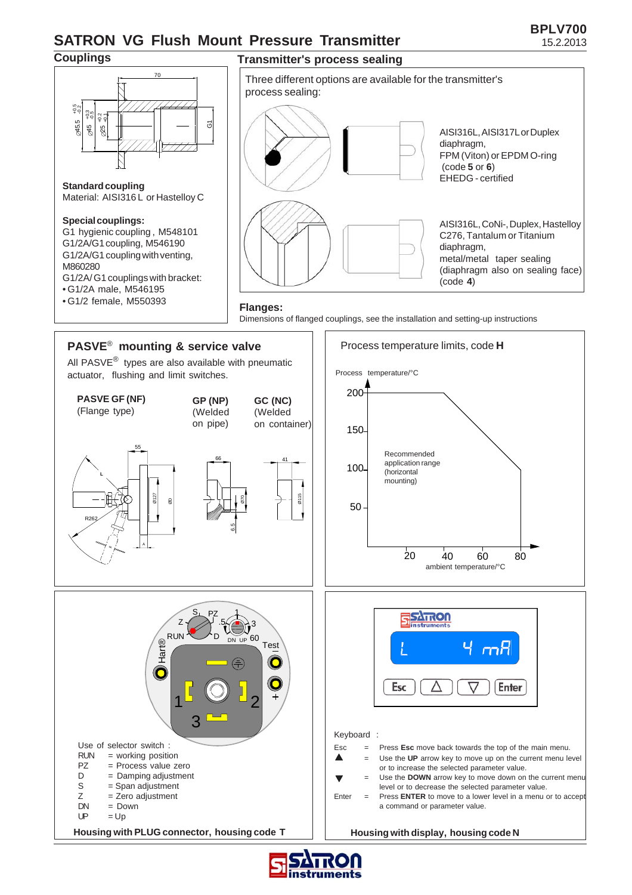## **SATRON VG Flush Mount Pressure Transmitter** 15.2.2013



80

Enter



#### **Special couplings:**

∅45.5

-9<br>-0.5<br>-0.5

G1 hygienic coupling , M548101 G1/2A/G1 coupling, M546190 G1/2A/G1 coupling with venting, M860280 G1/2A/ G1 couplings with bracket: • G1/2A male, M546195 • G1/2 female, M550393





**PASVE**® **mounting & service valve**